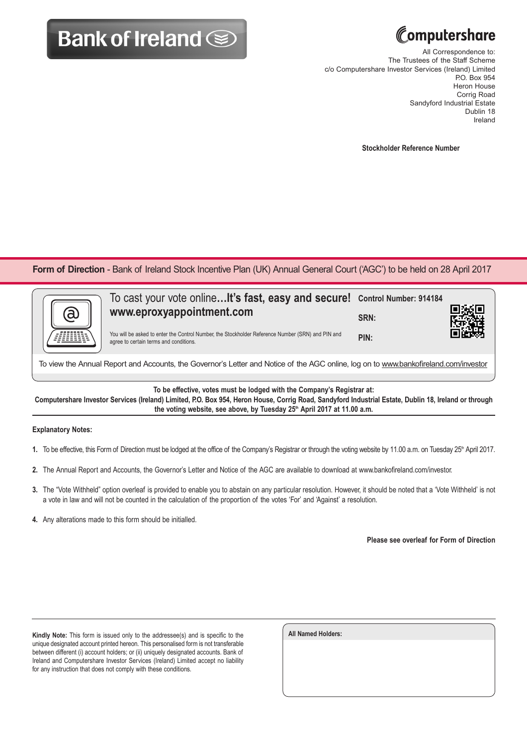## **Bank of Ireland Some**



All Correspondence to: The Trustees of the Staff Scheme c/o Computershare Investor Services (Ireland) Limited P.O. Box 954 Heron House Corrig Road Sandyford Industrial Estate Dublin 18 Ireland

**Stockholder Reference Number**

**Form of Direction** - Bank of Ireland Stock Incentive Plan (UK) Annual General Court ('AGC') to be held on 28 April 2017

| a | To cast your vote online It's fast, easy and secure! Control Number: 914184<br>www.eproxyappointment.com<br>You will be asked to enter the Control Number, the Stockholder Reference Number (SRN) and PIN and | SRN: |  |
|---|---------------------------------------------------------------------------------------------------------------------------------------------------------------------------------------------------------------|------|--|
|   | agree to certain terms and conditions.                                                                                                                                                                        | PIN: |  |
|   |                                                                                                                                                                                                               |      |  |

To view the Annual Report and Accounts, the Governor's Letter and Notice of the AGC online, log on to www.bankofireland.com/investor

**To be effective, votes must be lodged with the Company's Registrar at:**

**Computershare Investor Services (Ireland) Limited, P.O. Box 954, Heron House, Corrig Road, Sandyford Industrial Estate, Dublin 18, Ireland or through**  the voting website, see above, by Tuesday 25<sup>th</sup> April 2017 at 11.00 a.m.

## **Explanatory Notes:**

- 1. To be effective, this Form of Direction must be lodged at the office of the Company's Registrar or through the voting website by 11.00 a.m. on Tuesday 25<sup>th</sup> April 2017.
- **2.** The Annual Report and Accounts, the Governor's Letter and Notice of the AGC are available to download at www.bankofireland.com/investor.
- **3.** The "Vote Withheld" option overleaf is provided to enable you to abstain on any particular resolution. However, it should be noted that a 'Vote Withheld' is not a vote in law and will not be counted in the calculation of the proportion of the votes 'For' and 'Against' a resolution.
- **4.** Any alterations made to this form should be initialled.

**Please see overleaf for Form of Direction**

**Kindly Note:** This form is issued only to the addressee(s) and is specific to the unique designated account printed hereon. This personalised form is not transferable between different (i) account holders; or (ii) uniquely designated accounts. Bank of Ireland and Computershare Investor Services (Ireland) Limited accept no liability for any instruction that does not comply with these conditions.

| All Named Holders: |  |  |
|--------------------|--|--|
|                    |  |  |
|                    |  |  |
|                    |  |  |
|                    |  |  |
|                    |  |  |
|                    |  |  |
|                    |  |  |